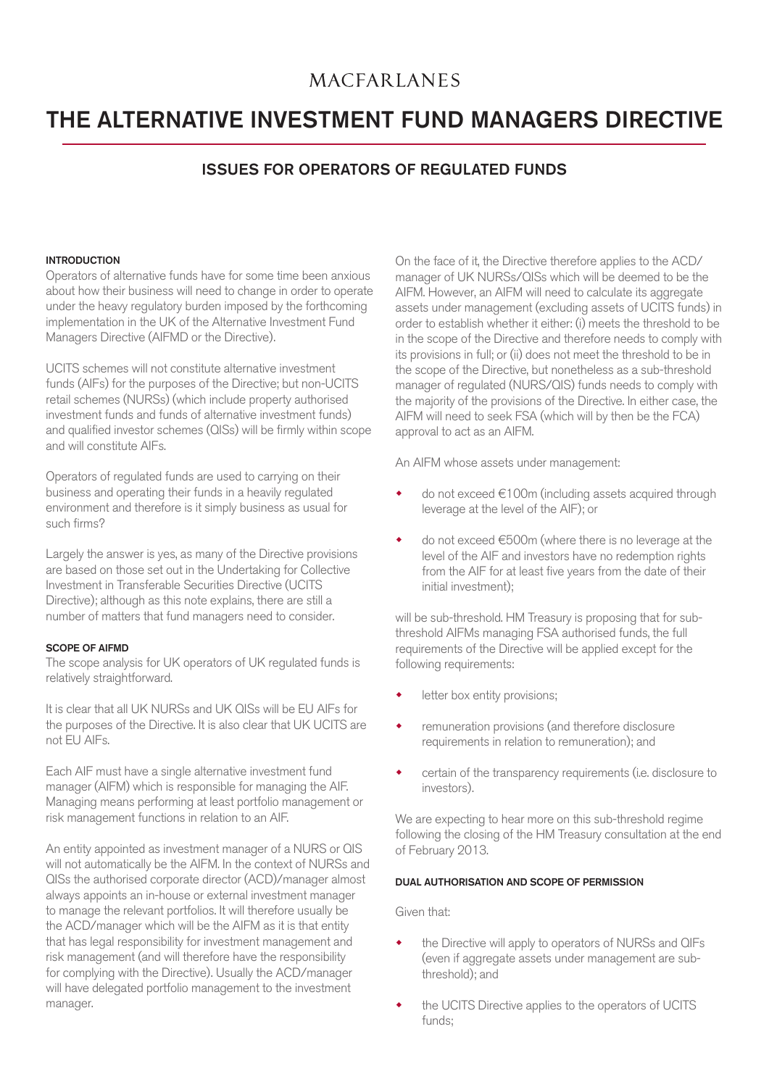## **MACFARLANES**

# THE ALTERNATIVE INVESTMENT FUND MANAGERS DIRECTIVE

### ISSUES FOR OPERATORS OF REGULATED FUNDS

#### **INTRODUCTION**

Operators of alternative funds have for some time been anxious about how their business will need to change in order to operate under the heavy regulatory burden imposed by the forthcoming implementation in the UK of the Alternative Investment Fund Managers Directive (AIFMD or the Directive).

UCITS schemes will not constitute alternative investment funds (AIFs) for the purposes of the Directive; but non-UCITS retail schemes (NURSs) (which include property authorised investment funds and funds of alternative investment funds) and qualified investor schemes (QISs) will be firmly within scope and will constitute AIFs.

Operators of regulated funds are used to carrying on their business and operating their funds in a heavily regulated environment and therefore is it simply business as usual for such firms?

Largely the answer is yes, as many of the Directive provisions are based on those set out in the Undertaking for Collective Investment in Transferable Securities Directive (UCITS Directive); although as this note explains, there are still a number of matters that fund managers need to consider.

#### SCOPE OF AIFMD

The scope analysis for UK operators of UK regulated funds is relatively straightforward.

It is clear that all UK NURSs and UK QISs will be EU AIFs for the purposes of the Directive. It is also clear that UK UCITS are not EU AIFs.

Each AIF must have a single alternative investment fund manager (AIFM) which is responsible for managing the AIF. Managing means performing at least portfolio management or risk management functions in relation to an AIF.

An entity appointed as investment manager of a NURS or QIS will not automatically be the AIFM. In the context of NURSs and QISs the authorised corporate director (ACD)/manager almost always appoints an in-house or external investment manager to manage the relevant portfolios. It will therefore usually be the ACD/manager which will be the AIFM as it is that entity that has legal responsibility for investment management and risk management (and will therefore have the responsibility for complying with the Directive). Usually the ACD/manager will have delegated portfolio management to the investment manager.

On the face of it, the Directive therefore applies to the ACD/ manager of UK NURSs/QISs which will be deemed to be the AIFM. However, an AIFM will need to calculate its aggregate assets under management (excluding assets of UCITS funds) in order to establish whether it either: (i) meets the threshold to be in the scope of the Directive and therefore needs to comply with its provisions in full; or (ii) does not meet the threshold to be in the scope of the Directive, but nonetheless as a sub-threshold manager of regulated (NURS/QIS) funds needs to comply with the majority of the provisions of the Directive. In either case, the AIFM will need to seek FSA (which will by then be the FCA) approval to act as an AIFM.

An AIFM whose assets under management:

- do not exceed €100m (including assets acquired through leverage at the level of the AIF); or
- do not exceed €500m (where there is no leverage at the level of the AIF and investors have no redemption rights from the AIF for at least five years from the date of their initial investment);

will be sub-threshold. HM Treasury is proposing that for subthreshold AIFMs managing FSA authorised funds, the full requirements of the Directive will be applied except for the following requirements:

- letter box entity provisions;
- remuneration provisions (and therefore disclosure requirements in relation to remuneration); and
- certain of the transparency requirements (i.e. disclosure to investors).

We are expecting to hear more on this sub-threshold regime following the closing of the HM Treasury consultation at the end of February 2013.

#### DUAL AUTHORISATION AND SCOPE OF PERMISSION

Given that:

- the Directive will apply to operators of NURSs and QIFs (even if aggregate assets under management are subthreshold); and
- the UCITS Directive applies to the operators of UCITS funds;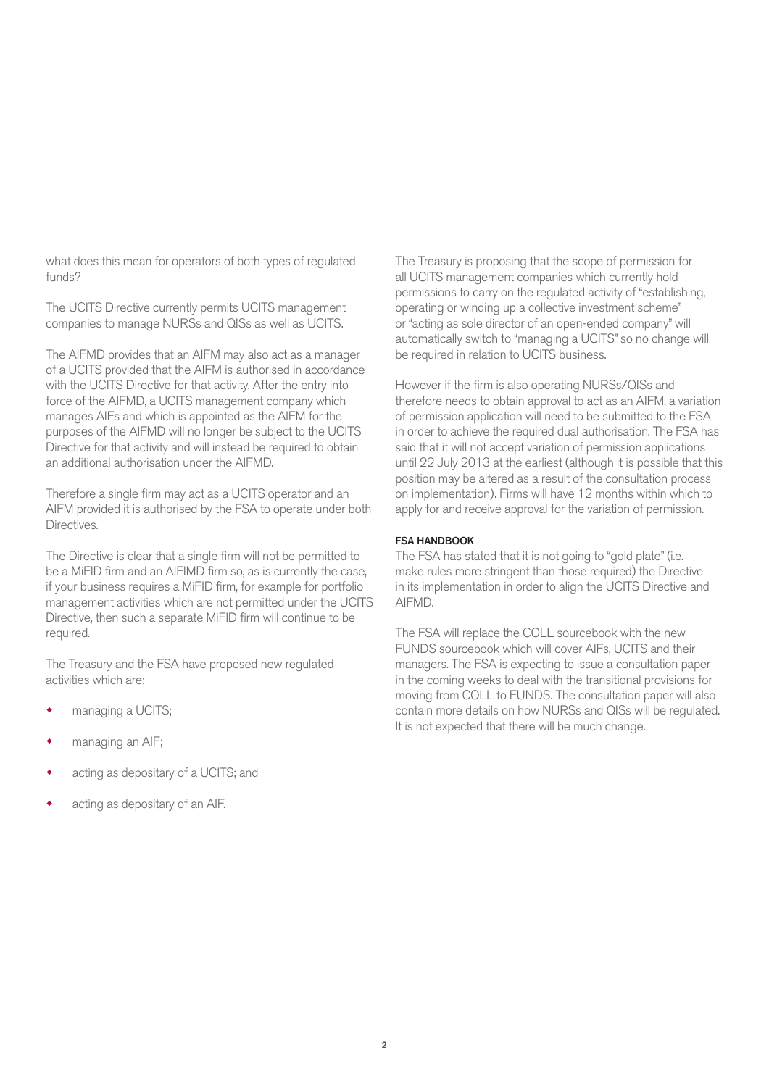what does this mean for operators of both types of regulated funds?

The UCITS Directive currently permits UCITS management companies to manage NURSs and QISs as well as UCITS.

The AIFMD provides that an AIFM may also act as a manager of a UCITS provided that the AIFM is authorised in accordance with the UCITS Directive for that activity. After the entry into force of the AIFMD, a UCITS management company which manages AIFs and which is appointed as the AIFM for the purposes of the AIFMD will no longer be subject to the UCITS Directive for that activity and will instead be required to obtain an additional authorisation under the AIFMD.

Therefore a single firm may act as a UCITS operator and an AIFM provided it is authorised by the FSA to operate under both Directives.

The Directive is clear that a single firm will not be permitted to be a MiFID firm and an AIFIMD firm so, as is currently the case, if your business requires a MiFID firm, for example for portfolio management activities which are not permitted under the UCITS Directive, then such a separate MiFID firm will continue to be required.

The Treasury and the FSA have proposed new regulated activities which are:

- managing a UCITS;
- managing an AIF;
- acting as depositary of a UCITS; and
- acting as depositary of an AIF.

The Treasury is proposing that the scope of permission for all UCITS management companies which currently hold permissions to carry on the regulated activity of "establishing, operating or winding up a collective investment scheme" or "acting as sole director of an open-ended company" will automatically switch to "managing a UCITS" so no change will be required in relation to UCITS business.

However if the firm is also operating NURSs/QISs and therefore needs to obtain approval to act as an AIFM, a variation of permission application will need to be submitted to the FSA in order to achieve the required dual authorisation. The FSA has said that it will not accept variation of permission applications until 22 July 2013 at the earliest (although it is possible that this position may be altered as a result of the consultation process on implementation). Firms will have 12 months within which to apply for and receive approval for the variation of permission.

#### FSA HANDBOOK

The FSA has stated that it is not going to "gold plate" (i.e. make rules more stringent than those required) the Directive in its implementation in order to align the UCITS Directive and AIFMD.

The FSA will replace the COLL sourcebook with the new FUNDS sourcebook which will cover AIFs, UCITS and their managers. The FSA is expecting to issue a consultation paper in the coming weeks to deal with the transitional provisions for moving from COLL to FUNDS. The consultation paper will also contain more details on how NURSs and QISs will be regulated. It is not expected that there will be much change.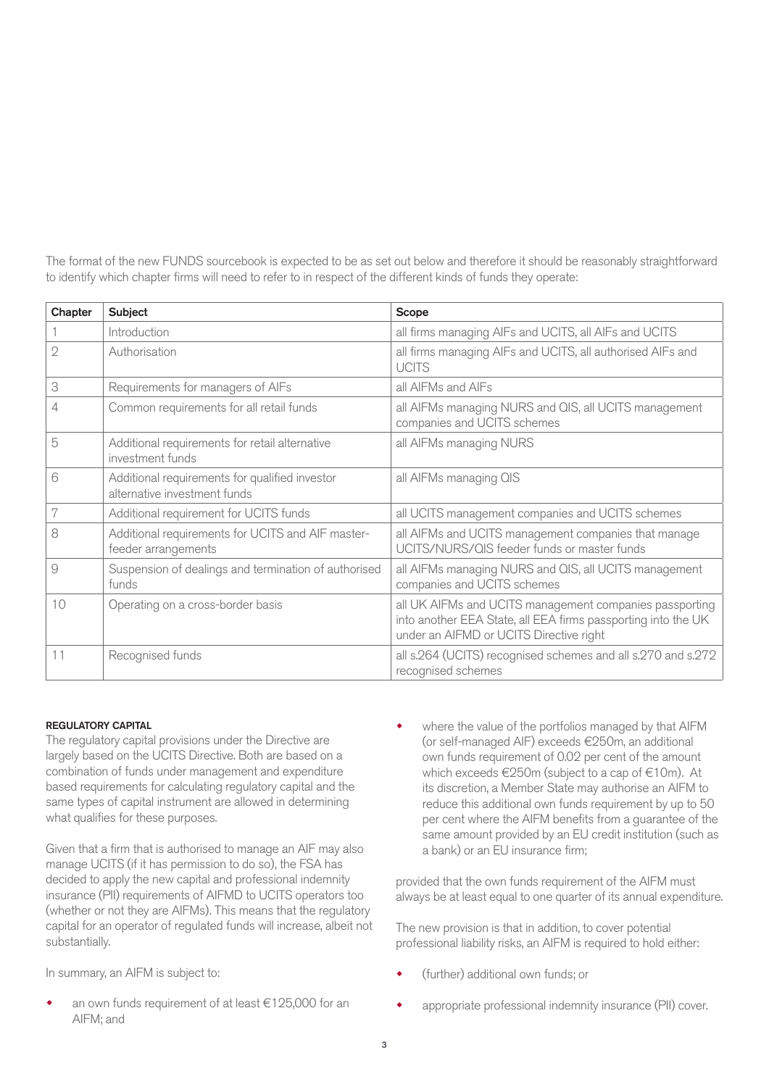The format of the new FUNDS sourcebook is expected to be as set out below and therefore it should be reasonably straightforward to identify which chapter firms will need to refer to in respect of the different kinds of funds they operate:

| Chapter | Subject                                                                        | <b>Scope</b>                                                                                                                                                        |
|---------|--------------------------------------------------------------------------------|---------------------------------------------------------------------------------------------------------------------------------------------------------------------|
|         | Introduction                                                                   | all firms managing AIFs and UCITS, all AIFs and UCITS                                                                                                               |
| 2       | Authorisation                                                                  | all firms managing AIFs and UCITS, all authorised AIFs and<br><b>UCITS</b>                                                                                          |
| 3       | Requirements for managers of AIFs                                              | all AIFMs and AIFs                                                                                                                                                  |
| 4       | Common requirements for all retail funds                                       | all AIFMs managing NURS and QIS, all UCITS management<br>companies and UCITS schemes                                                                                |
| 5       | Additional requirements for retail alternative<br>investment funds             | all AIFMs managing NURS                                                                                                                                             |
| 6       | Additional requirements for qualified investor<br>alternative investment funds | all AIFMs managing QIS                                                                                                                                              |
| 7       | Additional requirement for UCITS funds                                         | all UCITS management companies and UCITS schemes                                                                                                                    |
| 8       | Additional requirements for UCITS and AIF master-<br>feeder arrangements       | all AIFMs and UCITS management companies that manage<br>UCITS/NURS/QIS feeder funds or master funds                                                                 |
| 9       | Suspension of dealings and termination of authorised<br>funds                  | all AIFMs managing NURS and OIS, all UCITS management<br>companies and UCITS schemes                                                                                |
| 10      | Operating on a cross-border basis                                              | all UK AIFMs and UCITS management companies passporting<br>into another EEA State, all EEA firms passporting into the UK<br>under an AIFMD or UCITS Directive right |
| 11      | Recognised funds                                                               | all s.264 (UCITS) recognised schemes and all s.270 and s.272<br>recognised schemes                                                                                  |

#### REGULATORY CAPITAL

The regulatory capital provisions under the Directive are largely based on the UCITS Directive. Both are based on a combination of funds under management and expenditure based requirements for calculating regulatory capital and the same types of capital instrument are allowed in determining what qualifies for these purposes.

Given that a firm that is authorised to manage an AIF may also manage UCITS (if it has permission to do so), the FSA has decided to apply the new capital and professional indemnity insurance (PII) requirements of AIFMD to UCITS operators too (whether or not they are AIFMs). This means that the regulatory capital for an operator of regulated funds will increase, albeit not substantially.

In summary, an AIFM is subject to:

 an own funds requirement of at least €125,000 for an AIFM; and

 where the value of the portfolios managed by that AIFM (or self-managed AIF) exceeds €250m, an additional own funds requirement of 0.02 per cent of the amount which exceeds €250m (subject to a cap of €10m). At its discretion, a Member State may authorise an AIFM to reduce this additional own funds requirement by up to 50 per cent where the AIFM benefits from a guarantee of the same amount provided by an EU credit institution (such as a bank) or an EU insurance firm;

provided that the own funds requirement of the AIFM must always be at least equal to one quarter of its annual expenditure.

The new provision is that in addition, to cover potential professional liability risks, an AIFM is required to hold either:

- (further) additional own funds; or
- appropriate professional indemnity insurance (PII) cover.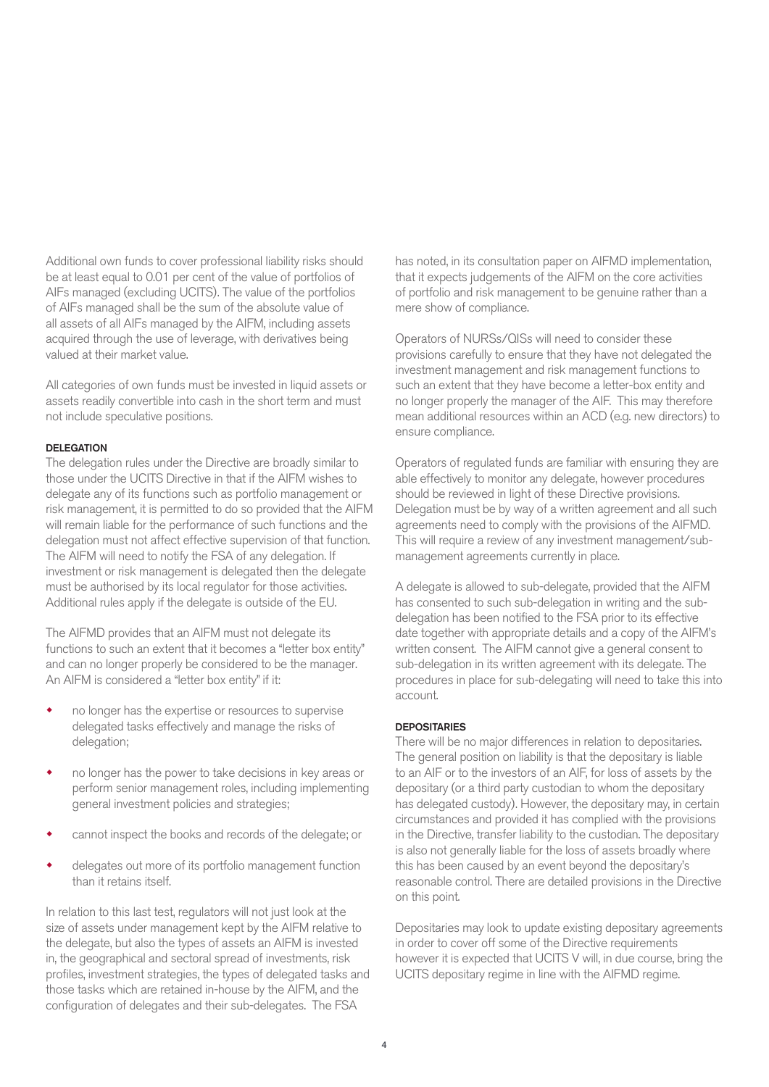Additional own funds to cover professional liability risks should be at least equal to 0.01 per cent of the value of portfolios of AIFs managed (excluding UCITS). The value of the portfolios of AIFs managed shall be the sum of the absolute value of all assets of all AIFs managed by the AIFM, including assets acquired through the use of leverage, with derivatives being valued at their market value.

All categories of own funds must be invested in liquid assets or assets readily convertible into cash in the short term and must not include speculative positions.

#### DELEGATION

The delegation rules under the Directive are broadly similar to those under the UCITS Directive in that if the AIFM wishes to delegate any of its functions such as portfolio management or risk management, it is permitted to do so provided that the AIFM will remain liable for the performance of such functions and the delegation must not affect effective supervision of that function. The AIFM will need to notify the FSA of any delegation. If investment or risk management is delegated then the delegate must be authorised by its local regulator for those activities. Additional rules apply if the delegate is outside of the EU.

The AIFMD provides that an AIFM must not delegate its functions to such an extent that it becomes a "letter box entity" and can no longer properly be considered to be the manager. An AIFM is considered a "letter box entity" if it:

- no longer has the expertise or resources to supervise delegated tasks effectively and manage the risks of delegation;
- no longer has the power to take decisions in key areas or perform senior management roles, including implementing general investment policies and strategies;
- cannot inspect the books and records of the delegate; or
- delegates out more of its portfolio management function than it retains itself.

In relation to this last test, regulators will not just look at the size of assets under management kept by the AIFM relative to the delegate, but also the types of assets an AIFM is invested in, the geographical and sectoral spread of investments, risk profiles, investment strategies, the types of delegated tasks and those tasks which are retained in-house by the AIFM, and the configuration of delegates and their sub-delegates. The FSA

has noted, in its consultation paper on AIFMD implementation, that it expects judgements of the AIFM on the core activities of portfolio and risk management to be genuine rather than a mere show of compliance.

Operators of NURSs/QISs will need to consider these provisions carefully to ensure that they have not delegated the investment management and risk management functions to such an extent that they have become a letter-box entity and no longer properly the manager of the AIF. This may therefore mean additional resources within an ACD (e.g. new directors) to ensure compliance.

Operators of regulated funds are familiar with ensuring they are able effectively to monitor any delegate, however procedures should be reviewed in light of these Directive provisions. Delegation must be by way of a written agreement and all such agreements need to comply with the provisions of the AIFMD. This will require a review of any investment management/submanagement agreements currently in place.

A delegate is allowed to sub-delegate, provided that the AIFM has consented to such sub-delegation in writing and the subdelegation has been notified to the FSA prior to its effective date together with appropriate details and a copy of the AIFM's written consent. The AIFM cannot give a general consent to sub-delegation in its written agreement with its delegate. The procedures in place for sub-delegating will need to take this into account.

#### **DEPOSITARIES**

There will be no major differences in relation to depositaries. The general position on liability is that the depositary is liable to an AIF or to the investors of an AIF, for loss of assets by the depositary (or a third party custodian to whom the depositary has delegated custody). However, the depositary may, in certain circumstances and provided it has complied with the provisions in the Directive, transfer liability to the custodian. The depositary is also not generally liable for the loss of assets broadly where this has been caused by an event beyond the depositary's reasonable control. There are detailed provisions in the Directive on this point.

Depositaries may look to update existing depositary agreements in order to cover off some of the Directive requirements however it is expected that UCITS V will, in due course, bring the UCITS depositary regime in line with the AIFMD regime.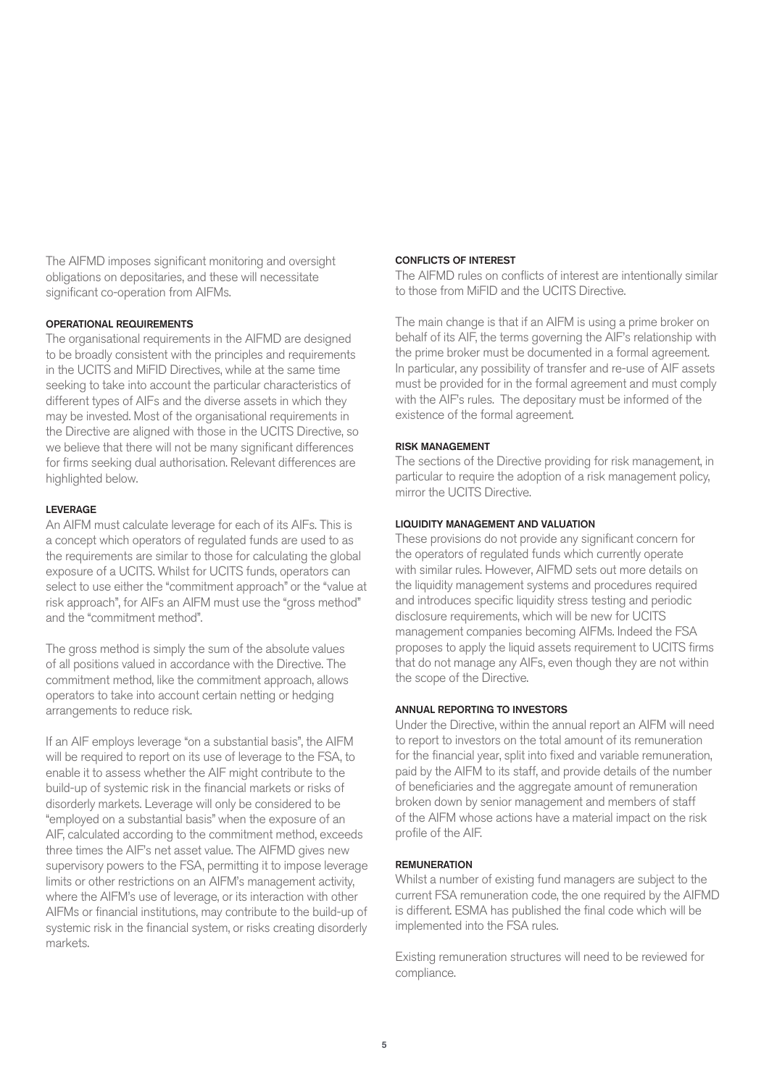The AIFMD imposes significant monitoring and oversight obligations on depositaries, and these will necessitate significant co-operation from AIFMs.

#### OPERATIONAL REQUIREMENTS

The organisational requirements in the AIFMD are designed to be broadly consistent with the principles and requirements in the UCITS and MiFID Directives, while at the same time seeking to take into account the particular characteristics of different types of AIFs and the diverse assets in which they may be invested. Most of the organisational requirements in the Directive are aligned with those in the UCITS Directive, so we believe that there will not be many significant differences for firms seeking dual authorisation. Relevant differences are highlighted below.

#### LEVERAGE

An AIFM must calculate leverage for each of its AIFs. This is a concept which operators of regulated funds are used to as the requirements are similar to those for calculating the global exposure of a UCITS. Whilst for UCITS funds, operators can select to use either the "commitment approach" or the "value at risk approach", for AIFs an AIFM must use the "gross method" and the "commitment method".

The gross method is simply the sum of the absolute values of all positions valued in accordance with the Directive. The commitment method, like the commitment approach, allows operators to take into account certain netting or hedging arrangements to reduce risk.

If an AIF employs leverage "on a substantial basis", the AIFM will be required to report on its use of leverage to the FSA, to enable it to assess whether the AIF might contribute to the build-up of systemic risk in the financial markets or risks of disorderly markets. Leverage will only be considered to be "employed on a substantial basis" when the exposure of an AIF, calculated according to the commitment method, exceeds three times the AIF's net asset value. The AIFMD gives new supervisory powers to the FSA, permitting it to impose leverage limits or other restrictions on an AIFM's management activity, where the AIFM's use of leverage, or its interaction with other AIFMs or financial institutions, may contribute to the build-up of systemic risk in the financial system, or risks creating disorderly markets.

#### CONFLICTS OF INTEREST

The AIFMD rules on conflicts of interest are intentionally similar to those from MiFID and the UCITS Directive.

The main change is that if an AIFM is using a prime broker on behalf of its AIF, the terms governing the AIF's relationship with the prime broker must be documented in a formal agreement. In particular, any possibility of transfer and re-use of AIF assets must be provided for in the formal agreement and must comply with the AIF's rules. The depositary must be informed of the existence of the formal agreement.

#### RISK MANAGEMENT

The sections of the Directive providing for risk management, in particular to require the adoption of a risk management policy, mirror the UCITS Directive.

#### LIQUIDITY MANAGEMENT AND VALUATION

These provisions do not provide any significant concern for the operators of regulated funds which currently operate with similar rules. However, AIFMD sets out more details on the liquidity management systems and procedures required and introduces specific liquidity stress testing and periodic disclosure requirements, which will be new for UCITS management companies becoming AIFMs. Indeed the FSA proposes to apply the liquid assets requirement to UCITS firms that do not manage any AIFs, even though they are not within the scope of the Directive.

#### ANNUAL REPORTING TO INVESTORS

Under the Directive, within the annual report an AIFM will need to report to investors on the total amount of its remuneration for the financial year, split into fixed and variable remuneration, paid by the AIFM to its staff, and provide details of the number of beneficiaries and the aggregate amount of remuneration broken down by senior management and members of staff of the AIFM whose actions have a material impact on the risk profile of the AIF.

#### REMUNERATION

Whilst a number of existing fund managers are subject to the current FSA remuneration code, the one required by the AIFMD is different. ESMA has published the final code which will be implemented into the FSA rules.

Existing remuneration structures will need to be reviewed for compliance.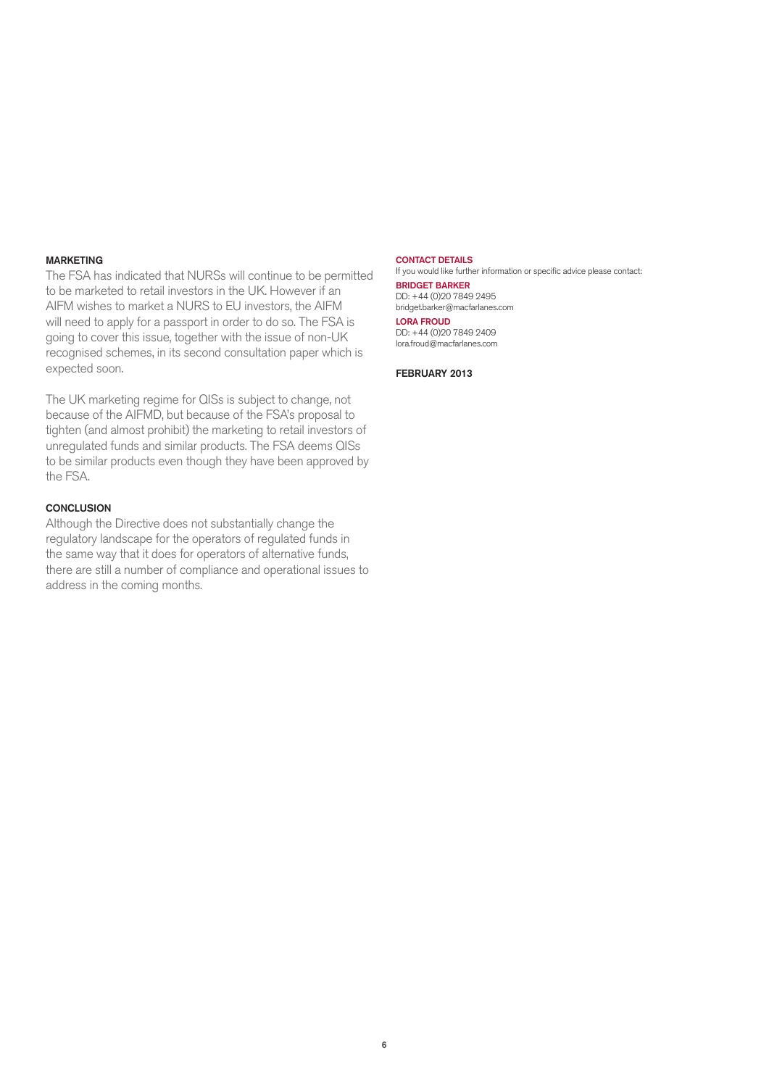#### MARKETING

The FSA has indicated that NURSs will continue to be permitted to be marketed to retail investors in the UK. However if an AIFM wishes to market a NURS to EU investors, the AIFM will need to apply for a passport in order to do so. The FSA is going to cover this issue, together with the issue of non-UK recognised schemes, in its second consultation paper which is expected soon.

The UK marketing regime for QISs is subject to change, not because of the AIFMD, but because of the FSA's proposal to tighten (and almost prohibit) the marketing to retail investors of unregulated funds and similar products. The FSA deems QISs to be similar products even though they have been approved by the FSA.

#### **CONCLUSION**

Although the Directive does not substantially change the regulatory landscape for the operators of regulated funds in the same way that it does for operators of alternative funds, there are still a number of compliance and operational issues to address in the coming months.

CONTACT DETAILS If you would like further information or specific advice please contact: BRIDGET BARKER DD: +44 (0)20 7849 2495 bridget.barker@macfarlanes.com LORA FROUD DD: +44 (0)20 7849 2409 lora.froud@macfarlanes.com

FEBRUARY 2013